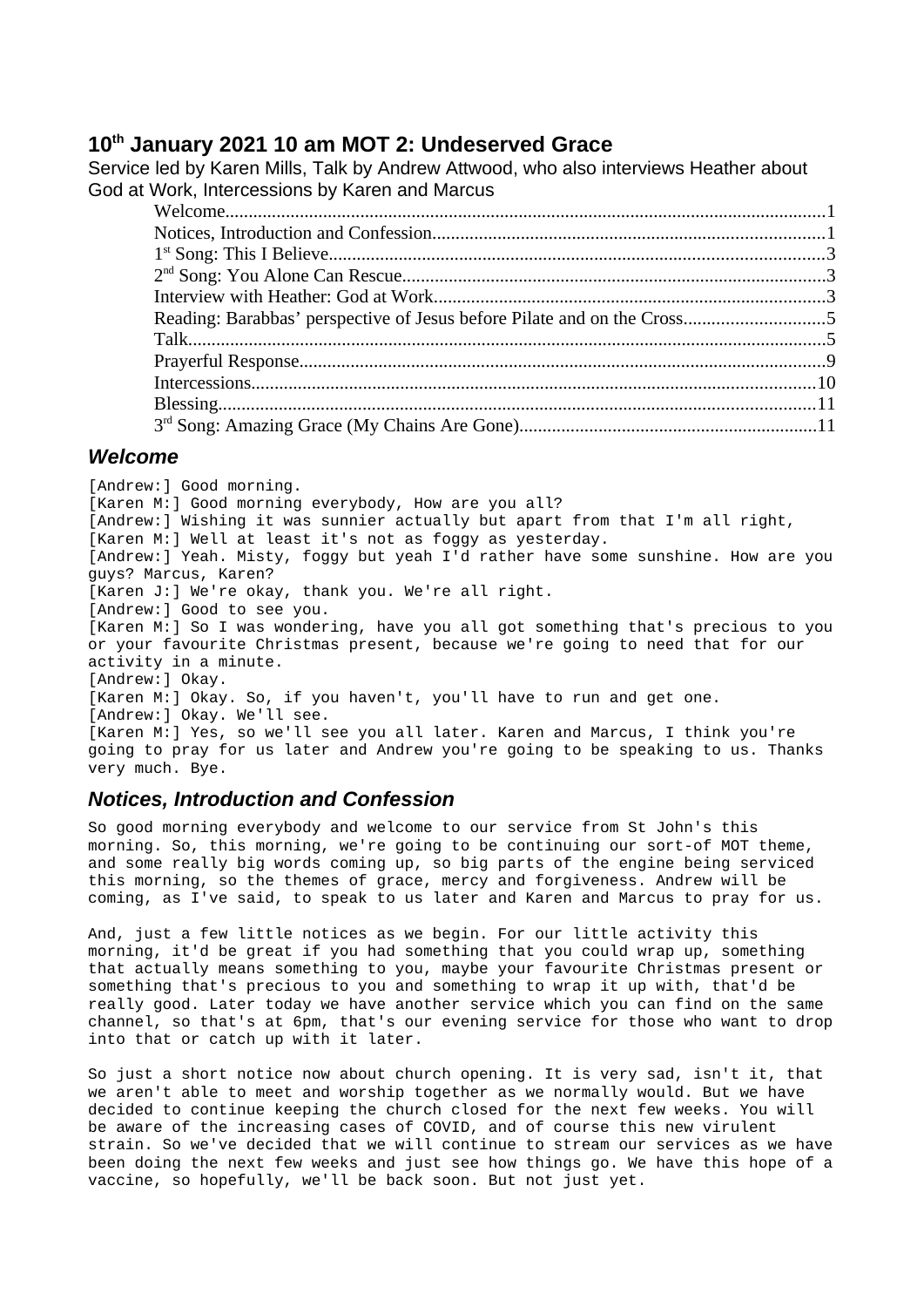# **10th January 2021 10 am MOT 2: Undeserved Grace**

Service led by Karen Mills, Talk by Andrew Attwood, who also interviews Heather about God at Work, Intercessions by Karen and Marcus

## <span id="page-0-1"></span>*Welcome*

[Andrew:] Good morning. [Karen M:] Good morning everybody, How are you all? [Andrew:] Wishing it was sunnier actually but apart from that I'm all right, [Karen M:] Well at least it's not as foggy as yesterday. [Andrew:] Yeah. Misty, foggy but yeah I'd rather have some sunshine. How are you guys? Marcus, Karen? [Karen J:] We're okay, thank you. We're all right. [Andrew:] Good to see you. [Karen M:] So I was wondering, have you all got something that's precious to you or your favourite Christmas present, because we're going to need that for our activity in a minute. [Andrew: ] Okay. [Karen M:] Okay. So, if you haven't, you'll have to run and get one. [Andrew:] Okay. We'll see. [Karen M:] Yes, so we'll see you all later. Karen and Marcus, I think you're going to pray for us later and Andrew you're going to be speaking to us. Thanks very much. Bye.

### <span id="page-0-0"></span>*Notices, Introduction and Confession*

So good morning everybody and welcome to our service from St John's this morning. So, this morning, we're going to be continuing our sort-of MOT theme, and some really big words coming up, so big parts of the engine being serviced this morning, so the themes of grace, mercy and forgiveness. Andrew will be coming, as I've said, to speak to us later and Karen and Marcus to pray for us.

And, just a few little notices as we begin. For our little activity this morning, it'd be great if you had something that you could wrap up, something that actually means something to you, maybe your favourite Christmas present or something that's precious to you and something to wrap it up with, that'd be really good. Later today we have another service which you can find on the same channel, so that's at 6pm, that's our evening service for those who want to drop into that or catch up with it later.

So just a short notice now about church opening. It is very sad, isn't it, that we aren't able to meet and worship together as we normally would. But we have decided to continue keeping the church closed for the next few weeks. You will be aware of the increasing cases of COVID, and of course this new virulent strain. So we've decided that we will continue to stream our services as we have been doing the next few weeks and just see how things go. We have this hope of a vaccine, so hopefully, we'll be back soon. But not just yet.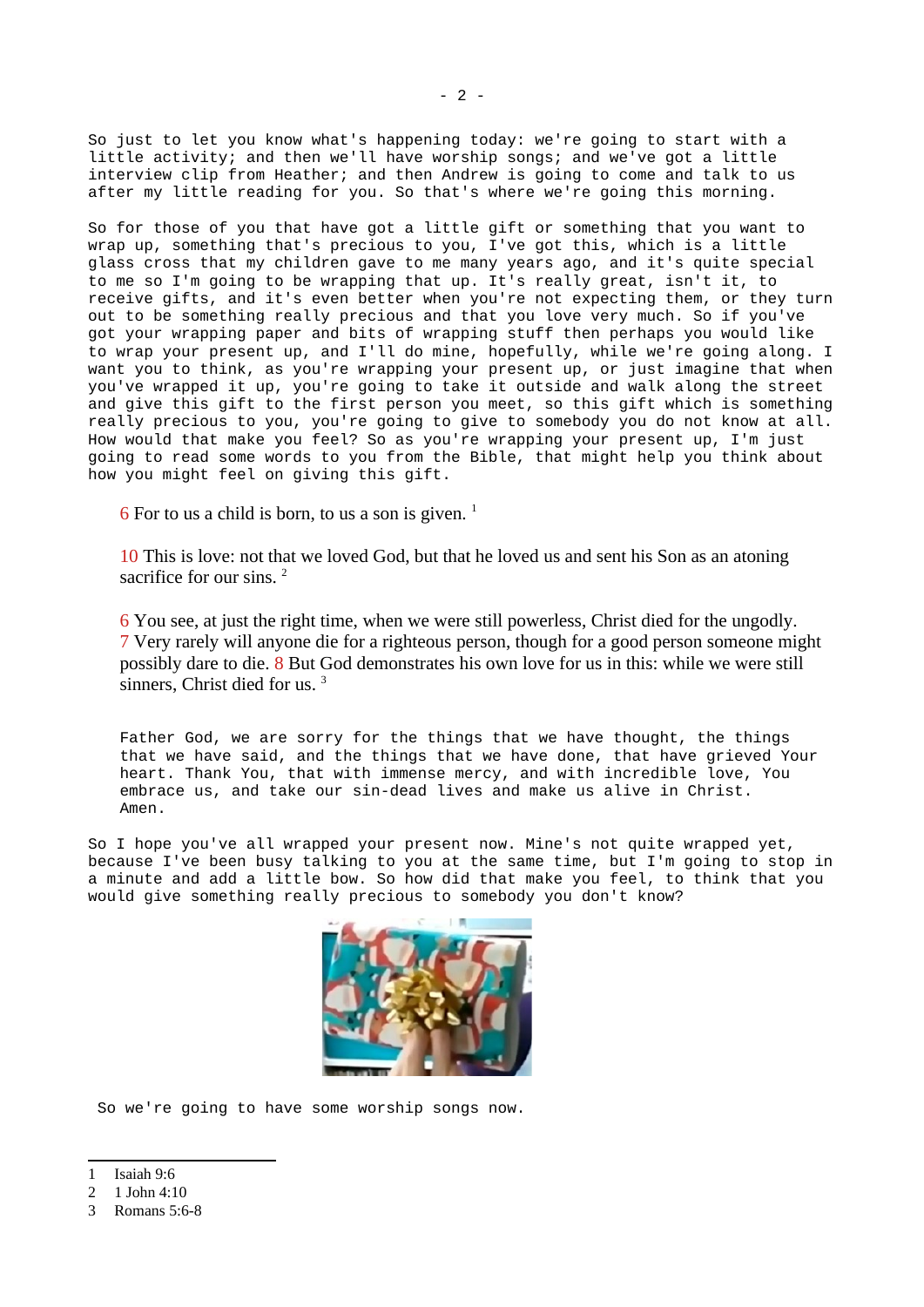So just to let you know what's happening today: we're going to start with a little activity; and then we'll have worship songs; and we've got a little interview clip from Heather; and then Andrew is going to come and talk to us after my little reading for you. So that's where we're going this morning.

So for those of you that have got a little gift or something that you want to wrap up, something that's precious to you, I've got this, which is a little glass cross that my children gave to me many years ago, and it's quite special to me so I'm going to be wrapping that up. It's really great, isn't it, to receive gifts, and it's even better when you're not expecting them, or they turn out to be something really precious and that you love very much. So if you've got your wrapping paper and bits of wrapping stuff then perhaps you would like to wrap your present up, and I'll do mine, hopefully, while we're going along. I want you to think, as you're wrapping your present up, or just imagine that when you've wrapped it up, you're going to take it outside and walk along the street and give this gift to the first person you meet, so this gift which is something really precious to you, you're going to give to somebody you do not know at all. How would that make you feel? So as you're wrapping your present up, I'm just going to read some words to you from the Bible, that might help you think about how you might feel on giving this gift.

6 For to us a child is born, to us a son is given.  $1$ 

10 This is love: not that we loved God, but that he loved us and sent his Son as an atoning sacrifice for our sins.<sup>[2](#page-1-1)</sup>

6 You see, at just the right time, when we were still powerless, Christ died for the ungodly. 7 Very rarely will anyone die for a righteous person, though for a good person someone might possibly dare to die. 8 But God demonstrates his own love for us in this: while we were still sinners. Christ died for us.<sup>[3](#page-1-2)</sup>

Father God, we are sorry for the things that we have thought, the things that we have said, and the things that we have done, that have grieved Your heart. Thank You, that with immense mercy, and with incredible love, You embrace us, and take our sin-dead lives and make us alive in Christ. Amen.

So I hope you've all wrapped your present now. Mine's not quite wrapped yet, because I've been busy talking to you at the same time, but I'm going to stop in a minute and add a little bow. So how did that make you feel, to think that you would give something really precious to somebody you don't know?



So we're going to have some worship songs now.

- <span id="page-1-1"></span>2 1 John 4:10
- <span id="page-1-2"></span>3 Romans 5:6-8

<span id="page-1-0"></span><sup>1</sup> Isaiah 9:6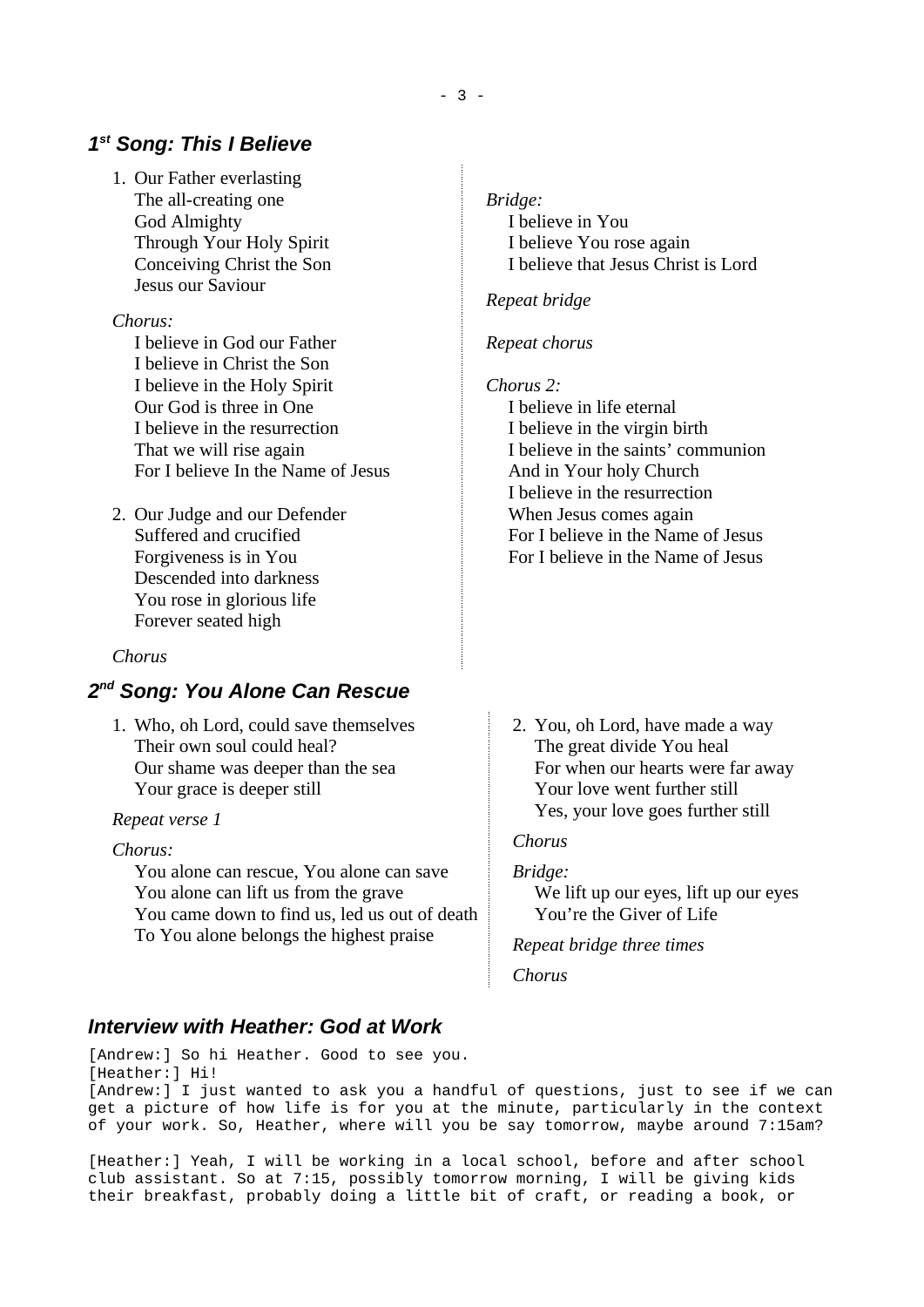# <span id="page-2-2"></span>*1 st Song: This I Believe*

1. Our Father everlasting The all-creating one God Almighty Through Your Holy Spirit Conceiving Christ the Son Jesus our Saviour

*Chorus:*

I believe in God our Father I believe in Christ the Son I believe in the Holy Spirit Our God is three in One I believe in the resurrection That we will rise again For I believe In the Name of Jesus

2. Our Judge and our Defender Suffered and crucified Forgiveness is in You Descended into darkness You rose in glorious life Forever seated high

### *Chorus*

# <span id="page-2-1"></span>*2 nd Song: You Alone Can Rescue*

1. Who, oh Lord, could save themselves Their own soul could heal? Our shame was deeper than the sea Your grace is deeper still

#### *Repeat verse 1*

#### *Chorus:*

You alone can rescue, You alone can save You alone can lift us from the grave You came down to find us, led us out of death To You alone belongs the highest praise

## *Bridge:* I believe in You I believe You rose again I believe that Jesus Christ is Lord

### *Repeat bridge*

#### *Repeat chorus*

*Chorus 2:* I believe in life eternal I believe in the virgin birth I believe in the saints' communion And in Your holy Church I believe in the resurrection When Jesus comes again For I believe in the Name of Jesus For I believe in the Name of Jesus

2. You, oh Lord, have made a way The great divide You heal For when our hearts were far away Your love went further still Yes, your love goes further still

### *Chorus*

### *Bridge:*

We lift up our eyes, lift up our eyes You're the Giver of Life

*Repeat bridge three times*

*Chorus*

# <span id="page-2-0"></span>*Interview with Heather: God at Work*

[Andrew:] So hi Heather. Good to see you. [Heather:] Hi!

[Andrew:] I just wanted to ask you a handful of questions, just to see if we can get a picture of how life is for you at the minute, particularly in the context of your work. So, Heather, where will you be say tomorrow, maybe around 7:15am?

[Heather:] Yeah, I will be working in a local school, before and after school club assistant. So at 7:15, possibly tomorrow morning, I will be giving kids their breakfast, probably doing a little bit of craft, or reading a book, or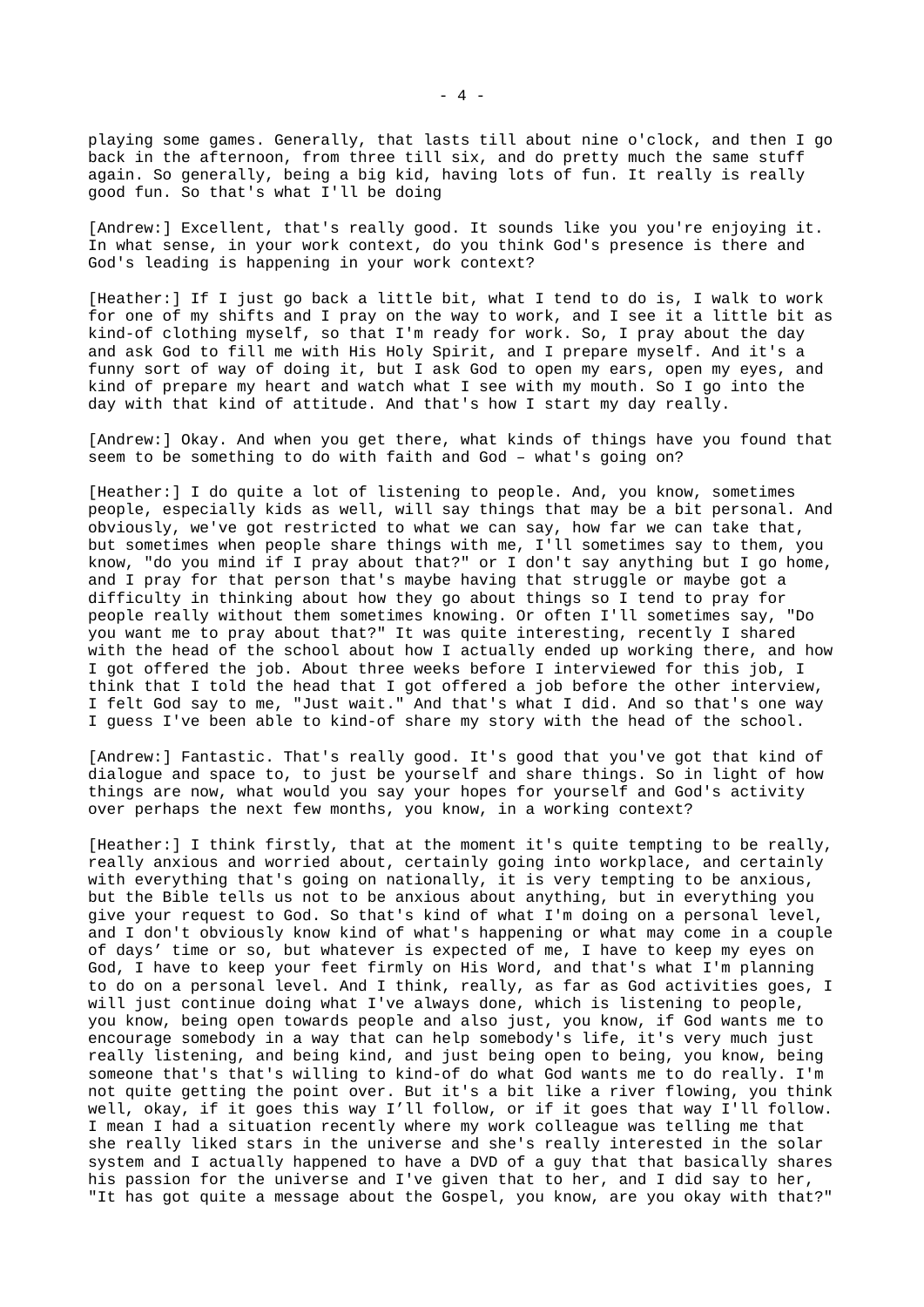playing some games. Generally, that lasts till about nine o'clock, and then I go back in the afternoon, from three till six, and do pretty much the same stuff again. So generally, being a big kid, having lots of fun. It really is really good fun. So that's what I'll be doing

[Andrew:] Excellent, that's really good. It sounds like you you're enjoying it. In what sense, in your work context, do you think God's presence is there and God's leading is happening in your work context?

[Heather:] If I just go back a little bit, what I tend to do is, I walk to work for one of my shifts and I pray on the way to work, and I see it a little bit as kind-of clothing myself, so that I'm ready for work. So, I pray about the day and ask God to fill me with His Holy Spirit, and I prepare myself. And it's a funny sort of way of doing it, but I ask God to open my ears, open my eyes, and kind of prepare my heart and watch what I see with my mouth. So I go into the day with that kind of attitude. And that's how I start my day really.

[Andrew:] Okay. And when you get there, what kinds of things have you found that seem to be something to do with faith and God – what's going on?

[Heather:] I do quite a lot of listening to people. And, you know, sometimes people, especially kids as well, will say things that may be a bit personal. And obviously, we've got restricted to what we can say, how far we can take that, but sometimes when people share things with me, I'll sometimes say to them, you know, "do you mind if I pray about that?" or I don't say anything but I go home, and I pray for that person that's maybe having that struggle or maybe got a difficulty in thinking about how they go about things so I tend to pray for people really without them sometimes knowing. Or often I'll sometimes say, "Do you want me to pray about that?" It was quite interesting, recently I shared with the head of the school about how I actually ended up working there, and how I got offered the job. About three weeks before I interviewed for this job, I think that I told the head that I got offered a job before the other interview, I felt God say to me, "Just wait." And that's what I did. And so that's one way I guess I've been able to kind-of share my story with the head of the school.

[Andrew:] Fantastic. That's really good. It's good that you've got that kind of dialogue and space to, to just be yourself and share things. So in light of how things are now, what would you say your hopes for yourself and God's activity over perhaps the next few months, you know, in a working context?

[Heather:] I think firstly, that at the moment it's quite tempting to be really, really anxious and worried about, certainly going into workplace, and certainly with everything that's going on nationally, it is very tempting to be anxious, but the Bible tells us not to be anxious about anything, but in everything you give your request to God. So that's kind of what I'm doing on a personal level, and I don't obviously know kind of what's happening or what may come in a couple of days' time or so, but whatever is expected of me, I have to keep my eyes on God, I have to keep your feet firmly on His Word, and that's what I'm planning to do on a personal level. And I think, really, as far as God activities goes, I will just continue doing what I've always done, which is listening to people, you know, being open towards people and also just, you know, if God wants me to encourage somebody in a way that can help somebody's life, it's very much just really listening, and being kind, and just being open to being, you know, being someone that's that's willing to kind-of do what God wants me to do really. I'm not quite getting the point over. But it's a bit like a river flowing, you think well, okay, if it goes this way I'll follow, or if it goes that way I'll follow. I mean I had a situation recently where my work colleague was telling me that she really liked stars in the universe and she's really interested in the solar system and I actually happened to have a DVD of a guy that that basically shares his passion for the universe and I've given that to her, and I did say to her, "It has got quite a message about the Gospel, you know, are you okay with that?"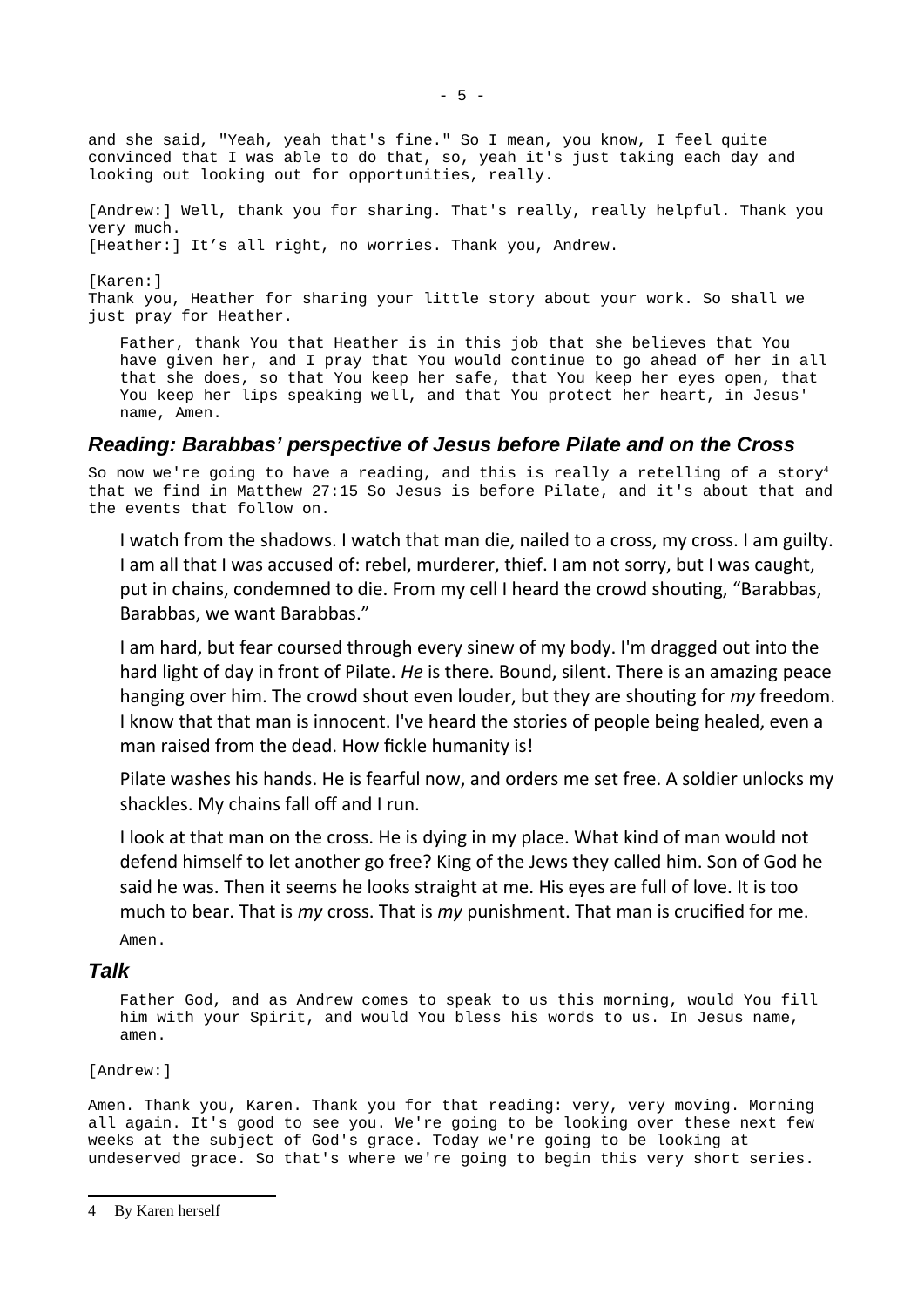and she said, "Yeah, yeah that's fine." So I mean, you know, I feel quite convinced that I was able to do that, so, yeah it's just taking each day and looking out looking out for opportunities, really. [Andrew:] Well, thank you for sharing. That's really, really helpful. Thank you very much. [Heather:] It's all right, no worries. Thank you, Andrew. [Karen:] Thank you, Heather for sharing your little story about your work. So shall we just pray for Heather. Father, thank You that Heather is in this job that she believes that You have given her, and I pray that You would continue to go ahead of her in all that she does, so that You keep her safe, that You keep her eyes open, that You keep her lips speaking well, and that You protect her heart, in Jesus' name, Amen.

# <span id="page-4-1"></span>*Reading: Barabbas' perspective of Jesus before Pilate and on the Cross*

So now we're going to have a reading, and this is really a retelling of a story<sup>[4](#page-4-2)</sup> that we find in Matthew 27:15 So Jesus is before Pilate, and it's about that and the events that follow on.

I watch from the shadows. I watch that man die, nailed to a cross, my cross. I am guilty. I am all that I was accused of: rebel, murderer, thief. I am not sorry, but I was caught, put in chains, condemned to die. From my cell I heard the crowd shouting, "Barabbas, Barabbas, we want Barabbas."

I am hard, but fear coursed through every sinew of my body. I'm dragged out into the hard light of day in front of Pilate. *He* is there. Bound, silent. There is an amazing peace hanging over him. The crowd shout even louder, but they are shouting for *my* freedom. I know that that man is innocent. I've heard the stories of people being healed, even a man raised from the dead. How fickle humanity is!

Pilate washes his hands. He is fearful now, and orders me set free. A soldier unlocks my shackles. My chains fall off and I run.

I look at that man on the cross. He is dying in my place. What kind of man would not defend himself to let another go free? King of the Jews they called him. Son of God he said he was. Then it seems he looks straight at me. His eyes are full of love. It is too much to bear. That is *my* cross. That is *my* punishment. That man is crucified for me. Amen.

## <span id="page-4-0"></span>*Talk*

Father God, and as Andrew comes to speak to us this morning, would You fill him with your Spirit, and would You bless his words to us. In Jesus name, amen.

### [Andrew:]

Amen. Thank you, Karen. Thank you for that reading: very, very moving. Morning all again. It's good to see you. We're going to be looking over these next few weeks at the subject of God's grace. Today we're going to be looking at undeserved grace. So that's where we're going to begin this very short series.

<span id="page-4-2"></span><sup>4</sup> By Karen herself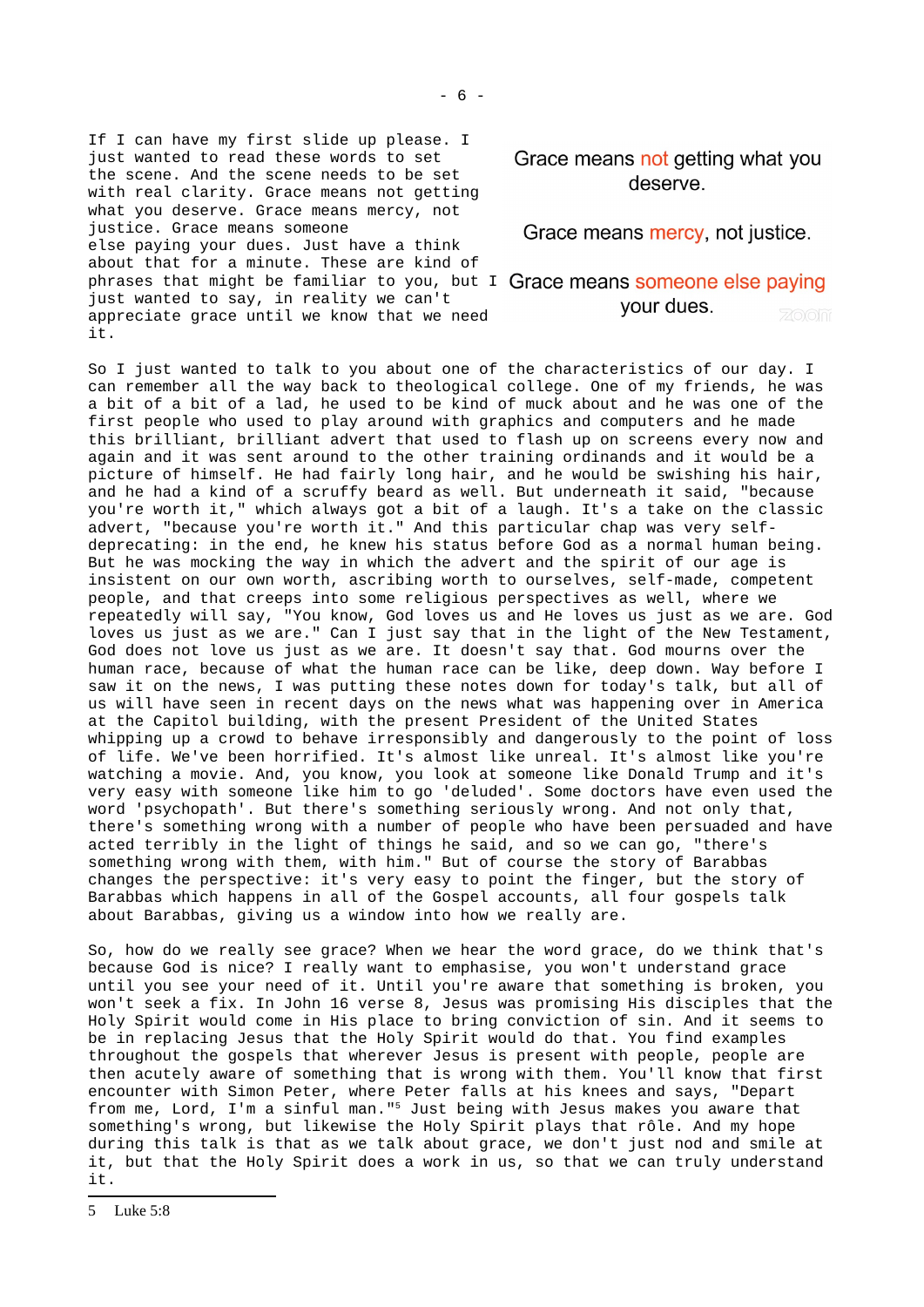If I can have my first slide up please. I just wanted to read these words to set the scene. And the scene needs to be set with real clarity. Grace means not getting what you deserve. Grace means mercy, not justice. Grace means someone else paying your dues. Just have a think about that for a minute. These are kind of phrases that might be familiar to you, but I Grace means someone else paving just wanted to say, in reality we can't appreciate grace until we know that we need it.

Grace means not getting what you deserve

Grace means mercy, not justice.

your dues.

So I just wanted to talk to you about one of the characteristics of our day. I can remember all the way back to theological college. One of my friends, he was a bit of a bit of a lad, he used to be kind of muck about and he was one of the first people who used to play around with graphics and computers and he made this brilliant, brilliant advert that used to flash up on screens every now and again and it was sent around to the other training ordinands and it would be a picture of himself. He had fairly long hair, and he would be swishing his hair, and he had a kind of a scruffy beard as well. But underneath it said, "because you're worth it," which always got a bit of a laugh. It's a take on the classic advert, "because you're worth it." And this particular chap was very selfdeprecating: in the end, he knew his status before God as a normal human being. But he was mocking the way in which the advert and the spirit of our age is insistent on our own worth, ascribing worth to ourselves, self-made, competent people, and that creeps into some religious perspectives as well, where we repeatedly will say, "You know, God loves us and He loves us just as we are. God loves us just as we are." Can I just say that in the light of the New Testament, God does not love us just as we are. It doesn't say that. God mourns over the human race, because of what the human race can be like, deep down. Way before I saw it on the news, I was putting these notes down for today's talk, but all of us will have seen in recent days on the news what was happening over in America at the Capitol building, with the present President of the United States whipping up a crowd to behave irresponsibly and dangerously to the point of loss of life. We've been horrified. It's almost like unreal. It's almost like you're watching a movie. And, you know, you look at someone like Donald Trump and it's very easy with someone like him to go 'deluded'. Some doctors have even used the word 'psychopath'. But there's something seriously wrong. And not only that, there's something wrong with a number of people who have been persuaded and have acted terribly in the light of things he said, and so we can go, "there's something wrong with them, with him." But of course the story of Barabbas changes the perspective: it's very easy to point the finger, but the story of Barabbas which happens in all of the Gospel accounts, all four gospels talk about Barabbas, giving us a window into how we really are.

<span id="page-5-0"></span>So, how do we really see grace? When we hear the word grace, do we think that's because God is nice? I really want to emphasise, you won't understand grace until you see your need of it. Until you're aware that something is broken, you won't seek a fix. In John 16 verse 8, Jesus was promising His disciples that the Holy Spirit would come in His place to bring conviction of sin. And it seems to be in replacing Jesus that the Holy Spirit would do that. You find examples throughout the gospels that wherever Jesus is present with people, people are then acutely aware of something that is wrong with them. You'll know that first encounter with Simon Peter, where Peter falls at his knees and says, "Depart from me, Lord, I'm a sinful man."[5](#page-5-0) Just being with Jesus makes you aware that something's wrong, but likewise the Holy Spirit plays that rôle. And my hope during this talk is that as we talk about grace, we don't just nod and smile at it, but that the Holy Spirit does a work in us, so that we can truly understand it.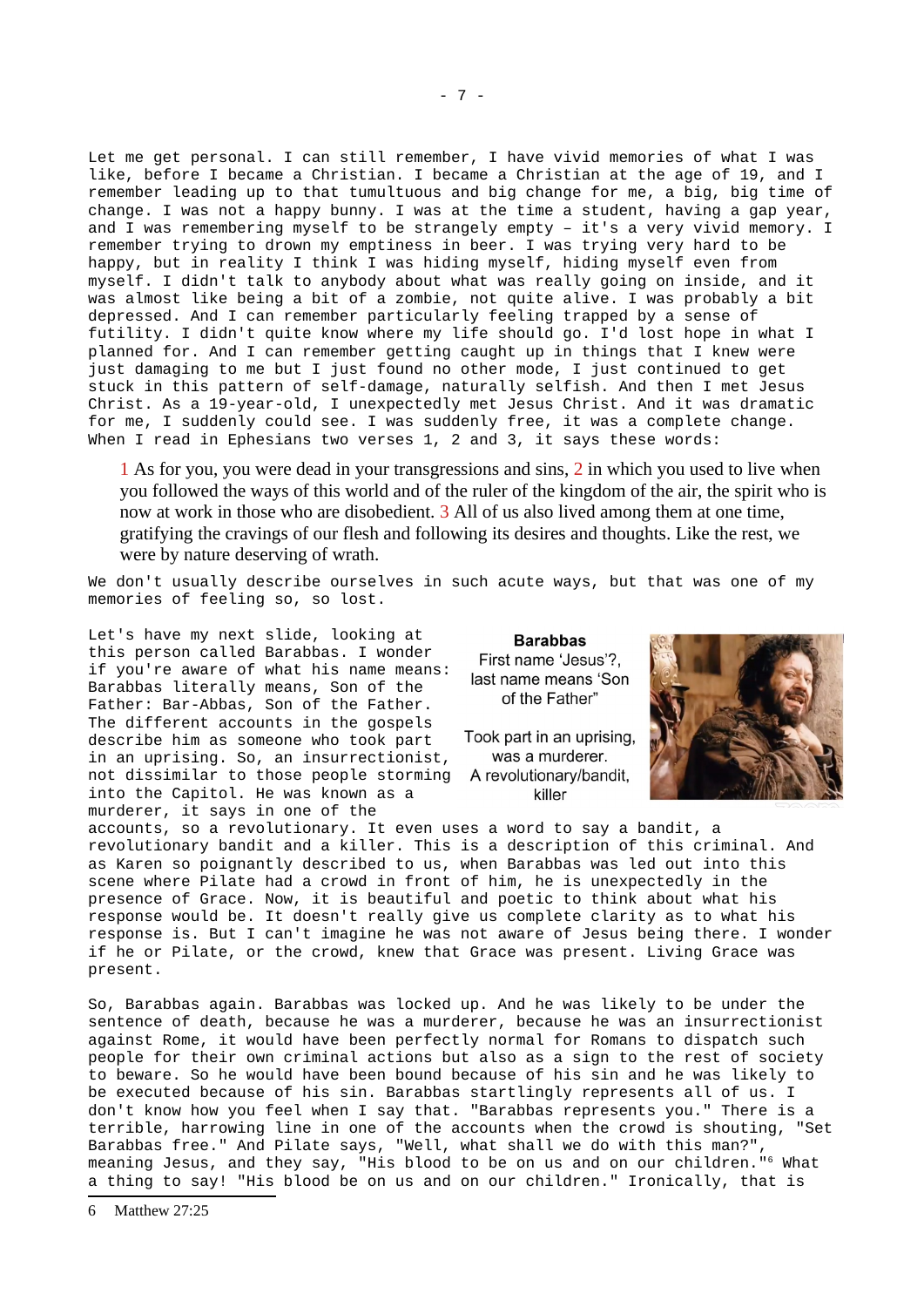Let me get personal. I can still remember, I have vivid memories of what I was like, before I became a Christian. I became a Christian at the age of 19, and I remember leading up to that tumultuous and big change for me, a big, big time of change. I was not a happy bunny. I was at the time a student, having a gap year, and I was remembering myself to be strangely empty – it's a very vivid memory. I remember trying to drown my emptiness in beer. I was trying very hard to be happy, but in reality I think I was hiding myself, hiding myself even from myself. I didn't talk to anybody about what was really going on inside, and it was almost like being a bit of a zombie, not quite alive. I was probably a bit depressed. And I can remember particularly feeling trapped by a sense of futility. I didn't quite know where my life should go. I'd lost hope in what I planned for. And I can remember getting caught up in things that I knew were just damaging to me but I just found no other mode, I just continued to get stuck in this pattern of self-damage, naturally selfish. And then I met Jesus Christ. As a 19-year-old, I unexpectedly met Jesus Christ. And it was dramatic for me, I suddenly could see. I was suddenly free, it was a complete change. When I read in Ephesians two verses 1, 2 and 3, it says these words:

1 As for you, you were dead in your transgressions and sins, 2 in which you used to live when you followed the ways of this world and of the ruler of the kingdom of the air, the spirit who is now at work in those who are disobedient. 3 All of us also lived among them at one time, gratifying the cravings of our flesh and following its desires and thoughts. Like the rest, we were by nature deserving of wrath.

We don't usually describe ourselves in such acute ways, but that was one of my memories of feeling so, so lost.

Let's have my next slide, looking at this person called Barabbas. I wonder if you're aware of what his name means: Barabbas literally means, Son of the Father: Bar-Abbas, Son of the Father. The different accounts in the gospels describe him as someone who took part in an uprising. So, an insurrectionist, not dissimilar to those people storming into the Capitol. He was known as a murderer, it says in one of the

**Barabbas** First name 'Jesus'?, last name means 'Son of the Father"

Took part in an uprising, was a murderer. A revolutionary/bandit. killer



accounts, so a revolutionary. It even uses a word to say a bandit, a revolutionary bandit and a killer. This is a description of this criminal. And as Karen so poignantly described to us, when Barabbas was led out into this scene where Pilate had a crowd in front of him, he is unexpectedly in the presence of Grace. Now, it is beautiful and poetic to think about what his response would be. It doesn't really give us complete clarity as to what his response is. But I can't imagine he was not aware of Jesus being there. I wonder if he or Pilate, or the crowd, knew that Grace was present. Living Grace was present.

<span id="page-6-0"></span>So, Barabbas again. Barabbas was locked up. And he was likely to be under the sentence of death, because he was a murderer, because he was an insurrectionist against Rome, it would have been perfectly normal for Romans to dispatch such people for their own criminal actions but also as a sign to the rest of society to beware. So he would have been bound because of his sin and he was likely to be executed because of his sin. Barabbas startlingly represents all of us. I don't know how you feel when I say that. "Barabbas represents you." There is a terrible, harrowing line in one of the accounts when the crowd is shouting, "Set Barabbas free." And Pilate says, "Well, what shall we do with this man?", meaning Jesus, and they say, "His blood to be on us and on our children."[6](#page-6-0) What a thing to say! "His blood be on us and on our children." Ironically, that is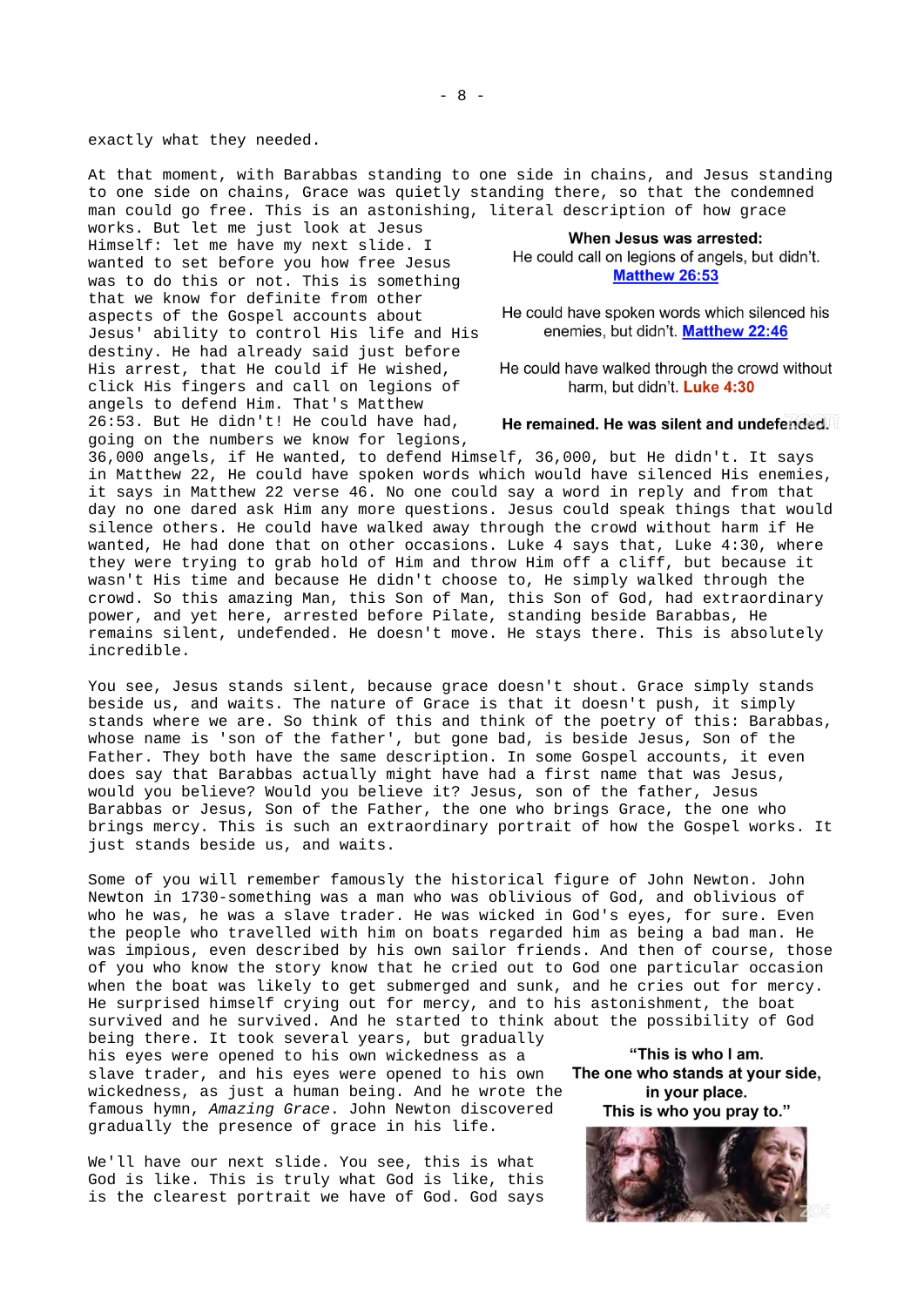exactly what they needed.

incredible.

At that moment, with Barabbas standing to one side in chains, and Jesus standing to one side on chains, Grace was quietly standing there, so that the condemned man could go free. This is an astonishing, literal description of how grace works. But let me just look at Jesus When Jesus was arrested: Himself: let me have my next slide. I He could call on legions of angels, but didn't. wanted to set before you how free Jesus **Matthew 26:53** was to do this or not. This is something that we know for definite from other He could have spoken words which silenced his aspects of the Gospel accounts about enemies, but didn't. Matthew 22:46 Jesus' ability to control His life and His destiny. He had already said just before His arrest, that He could if He wished, He could have walked through the crowd without harm, but didn't. Luke 4:30 click His fingers and call on legions of angels to defend Him. That's Matthew 26:53. But He didn't! He could have had, He remained. He was silent and undefended. going on the numbers we know for legions, 36,000 angels, if He wanted, to defend Himself, 36,000, but He didn't. It says in Matthew 22, He could have spoken words which would have silenced His enemies, it says in Matthew 22 verse 46. No one could say a word in reply and from that day no one dared ask Him any more questions. Jesus could speak things that would silence others. He could have walked away through the crowd without harm if He wanted, He had done that on other occasions. Luke 4 says that, Luke 4:30, where they were trying to grab hold of Him and throw Him off a cliff, but because it wasn't His time and because He didn't choose to, He simply walked through the crowd. So this amazing Man, this Son of Man, this Son of God, had extraordinary power, and yet here, arrested before Pilate, standing beside Barabbas, He remains silent, undefended. He doesn't move. He stays there. This is absolutely

You see, Jesus stands silent, because grace doesn't shout. Grace simply stands beside us, and waits. The nature of Grace is that it doesn't push, it simply stands where we are. So think of this and think of the poetry of this: Barabbas, whose name is 'son of the father', but gone bad, is beside Jesus, Son of the Father. They both have the same description. In some Gospel accounts, it even does say that Barabbas actually might have had a first name that was Jesus, would you believe? Would you believe it? Jesus, son of the father, Jesus Barabbas or Jesus, Son of the Father, the one who brings Grace, the one who brings mercy. This is such an extraordinary portrait of how the Gospel works. It just stands beside us, and waits.

Some of you will remember famously the historical figure of John Newton. John Newton in 1730-something was a man who was oblivious of God, and oblivious of who he was, he was a slave trader. He was wicked in God's eyes, for sure. Even the people who travelled with him on boats regarded him as being a bad man. He was impious, even described by his own sailor friends. And then of course, those of you who know the story know that he cried out to God one particular occasion when the boat was likely to get submerged and sunk, and he cries out for mercy. He surprised himself crying out for mercy, and to his astonishment, the boat survived and he survived. And he started to think about the possibility of God being there. It took several years, but gradually "This is who I am. his eyes were opened to his own wickedness as a slave trader, and his eyes were opened to his own The one who stands at your side, wickedness, as just a human being. And he wrote the in your place.

This is who you pray to."



We'll have our next slide. You see, this is what God is like. This is truly what God is like, this is the clearest portrait we have of God. God says

famous hymn, *Amazing Grace*. John Newton discovered

gradually the presence of grace in his life.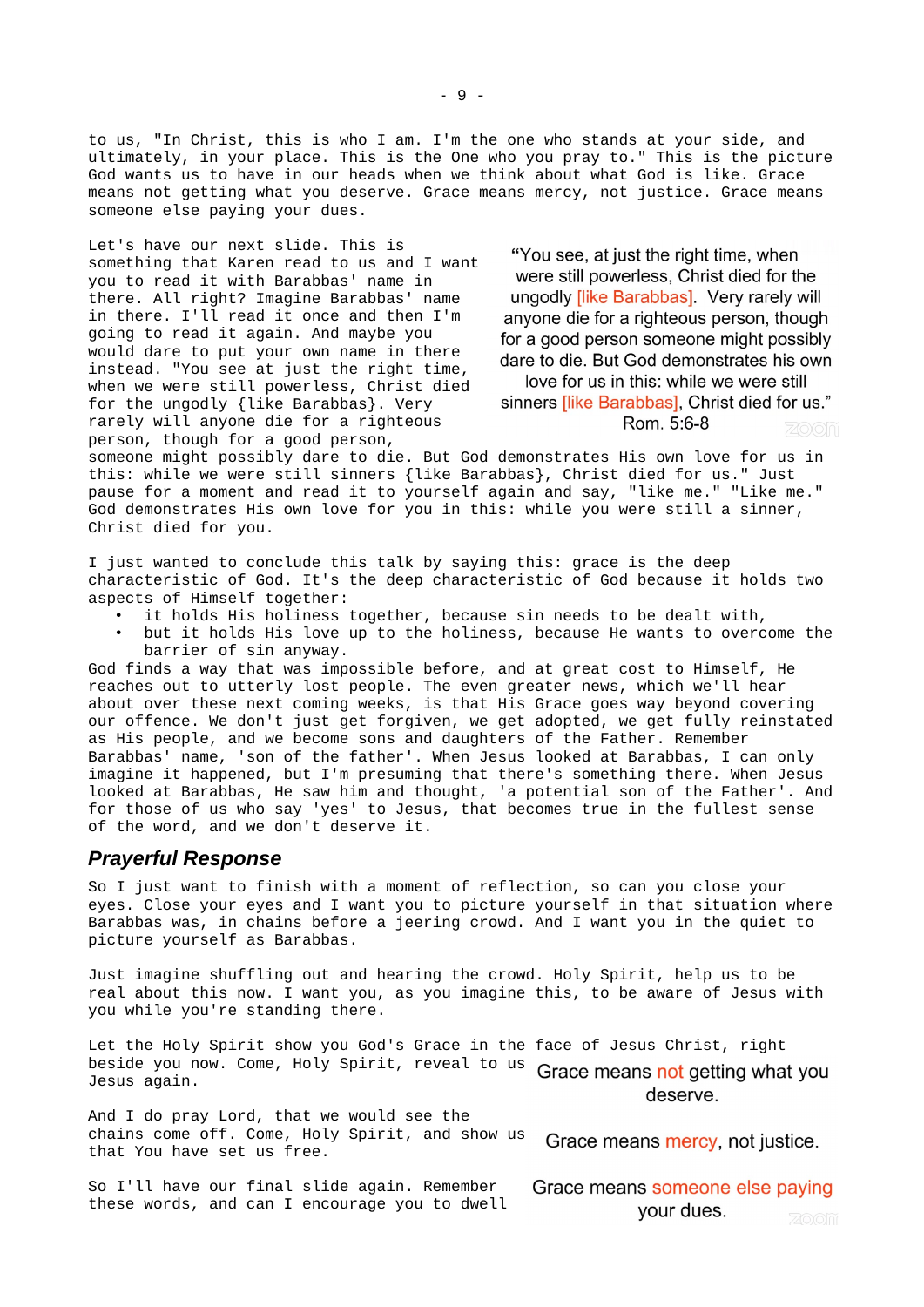to us, "In Christ, this is who I am. I'm the one who stands at your side, and ultimately, in your place. This is the One who you pray to." This is the picture God wants us to have in our heads when we think about what God is like. Grace means not getting what you deserve. Grace means mercy, not justice. Grace means someone else paying your dues.

Let's have our next slide. This is something that Karen read to us and I want you to read it with Barabbas' name in there. All right? Imagine Barabbas' name in there. I'll read it once and then I'm going to read it again. And maybe you would dare to put your own name in there instead. "You see at just the right time, when we were still powerless, Christ died for the ungodly {like Barabbas}. Very rarely will anyone die for a righteous person, though for a good person,

"You see, at just the right time, when were still powerless, Christ died for the ungodly [like Barabbas]. Very rarely will anyone die for a righteous person, though for a good person someone might possibly dare to die. But God demonstrates his own love for us in this: while we were still sinners *[like Barabbas]*, Christ died for us." Rom. 5:6-8

someone might possibly dare to die. But God demonstrates His own love for us in this: while we were still sinners {like Barabbas}, Christ died for us." Just pause for a moment and read it to yourself again and say, "like me." "Like me." God demonstrates His own love for you in this: while you were still a sinner, Christ died for you.

I just wanted to conclude this talk by saying this: grace is the deep characteristic of God. It's the deep characteristic of God because it holds two aspects of Himself together:

- it holds His holiness together, because sin needs to be dealt with,
- but it holds His love up to the holiness, because He wants to overcome the barrier of sin anyway.

God finds a way that was impossible before, and at great cost to Himself, He reaches out to utterly lost people. The even greater news, which we'll hear about over these next coming weeks, is that His Grace goes way beyond covering our offence. We don't just get forgiven, we get adopted, we get fully reinstated as His people, and we become sons and daughters of the Father. Remember Barabbas' name, 'son of the father'. When Jesus looked at Barabbas, I can only imagine it happened, but I'm presuming that there's something there. When Jesus looked at Barabbas, He saw him and thought, 'a potential son of the Father'. And for those of us who say 'yes' to Jesus, that becomes true in the fullest sense of the word, and we don't deserve it.

#### <span id="page-8-0"></span>*Prayerful Response*

So I just want to finish with a moment of reflection, so can you close your eyes. Close your eyes and I want you to picture yourself in that situation where Barabbas was, in chains before a jeering crowd. And I want you in the quiet to picture yourself as Barabbas.

Just imagine shuffling out and hearing the crowd. Holy Spirit, help us to be real about this now. I want you, as you imagine this, to be aware of Jesus with you while you're standing there.

Let the Holy Spirit show you God's Grace in the face of Jesus Christ, right Let the noty opinite onon you can all to us Grace means not getting what you Jesus again. deserve.

And I do pray Lord, that we would see the chains come off. Come, Holy Spirit, and show us Grace means mercy, not justice. that You have set us free.

So I'll have our final slide again. Remember these words, and can I encourage you to dwell

Grace means someone else paying your dues.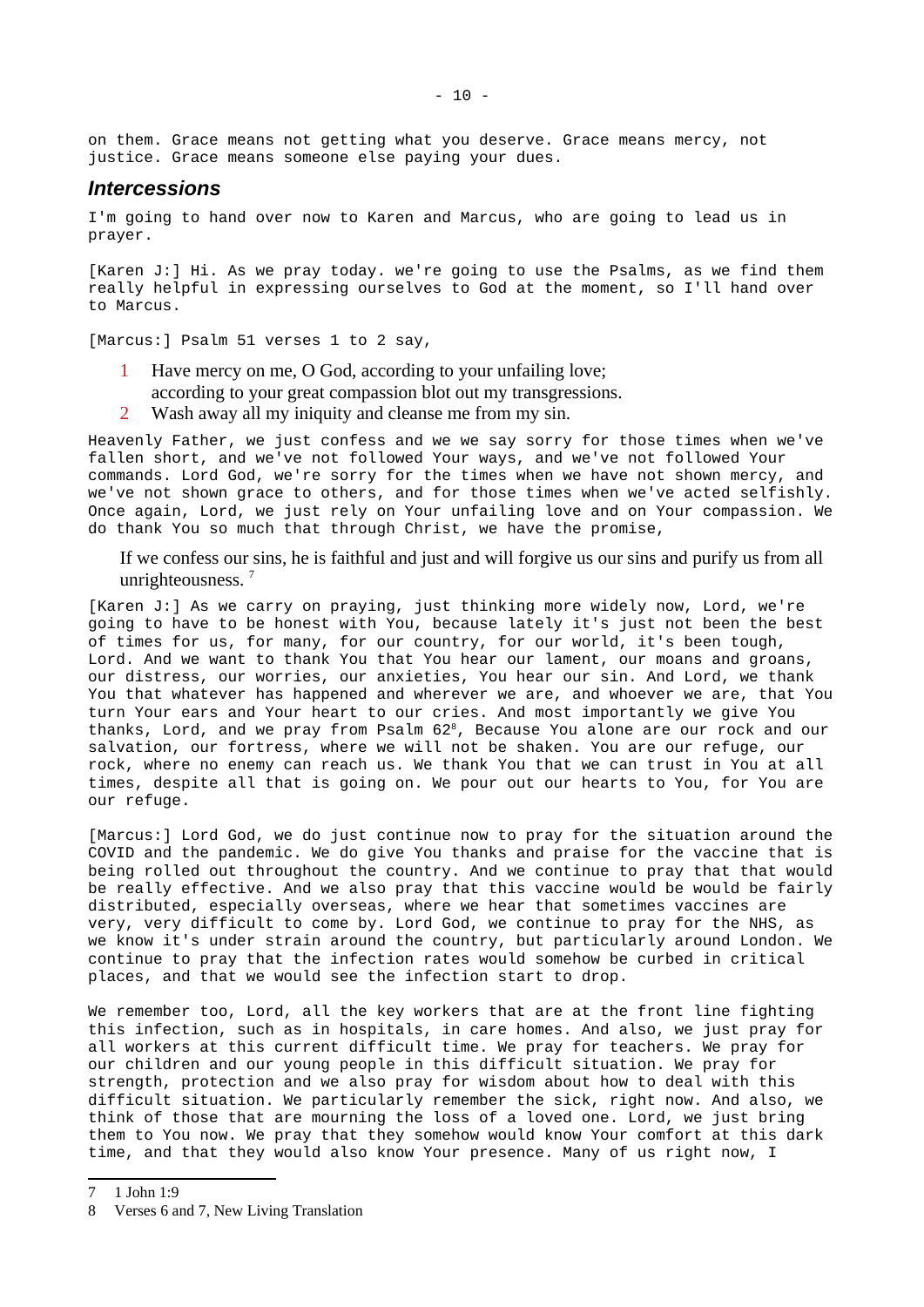on them. Grace means not getting what you deserve. Grace means mercy, not justice. Grace means someone else paying your dues.

#### <span id="page-9-0"></span>*Intercessions*

I'm going to hand over now to Karen and Marcus, who are going to lead us in prayer.

[Karen J:] Hi. As we pray today. we're going to use the Psalms, as we find them really helpful in expressing ourselves to God at the moment, so I'll hand over to Marcus.

[Marcus:] Psalm 51 verses 1 to 2 say,

- 1 Have mercy on me, O God, according to your unfailing love;
	- according to your great compassion blot out my transgressions.
- Wash away all my iniquity and cleanse me from my sin.

Heavenly Father, we just confess and we we say sorry for those times when we've fallen short, and we've not followed Your ways, and we've not followed Your commands. Lord God, we're sorry for the times when we have not shown mercy, and we've not shown grace to others, and for those times when we've acted selfishly. Once again, Lord, we just rely on Your unfailing love and on Your compassion. We do thank You so much that through Christ, we have the promise,

If we confess our sins, he is faithful and just and will forgive us our sins and purify us from all unrighteousness. $<sup>7</sup>$  $<sup>7</sup>$  $<sup>7</sup>$ </sup>

[Karen J:] As we carry on praying, just thinking more widely now, Lord, we're going to have to be honest with You, because lately it's just not been the best of times for us, for many, for our country, for our world, it's been tough, Lord. And we want to thank You that You hear our lament, our moans and groans, our distress, our worries, our anxieties, You hear our sin. And Lord, we thank You that whatever has happened and wherever we are, and whoever we are, that You turn Your ears and Your heart to our cries. And most importantly we give You thanks, Lord, and we pray from Psalm 62[8](#page-9-2), Because You alone are our rock and our salvation, our fortress, where we will not be shaken. You are our refuge, our rock, where no enemy can reach us. We thank You that we can trust in You at all times, despite all that is going on. We pour out our hearts to You, for You are our refuge.

[Marcus:] Lord God, we do just continue now to pray for the situation around the COVID and the pandemic. We do give You thanks and praise for the vaccine that is being rolled out throughout the country. And we continue to pray that that would be really effective. And we also pray that this vaccine would be would be fairly distributed, especially overseas, where we hear that sometimes vaccines are very, very difficult to come by. Lord God, we continue to pray for the NHS, as we know it's under strain around the country, but particularly around London. We continue to pray that the infection rates would somehow be curbed in critical places, and that we would see the infection start to drop.

We remember too, Lord, all the key workers that are at the front line fighting this infection, such as in hospitals, in care homes. And also, we just pray for all workers at this current difficult time. We pray for teachers. We pray for our children and our young people in this difficult situation. We pray for strength, protection and we also pray for wisdom about how to deal with this difficult situation. We particularly remember the sick, right now. And also, we think of those that are mourning the loss of a loved one. Lord, we just bring them to You now. We pray that they somehow would know Your comfort at this dark time, and that they would also know Your presence. Many of us right now, I

<span id="page-9-1"></span>7 1 John 1:9

<span id="page-9-2"></span><sup>8</sup> Verses 6 and 7, New Living Translation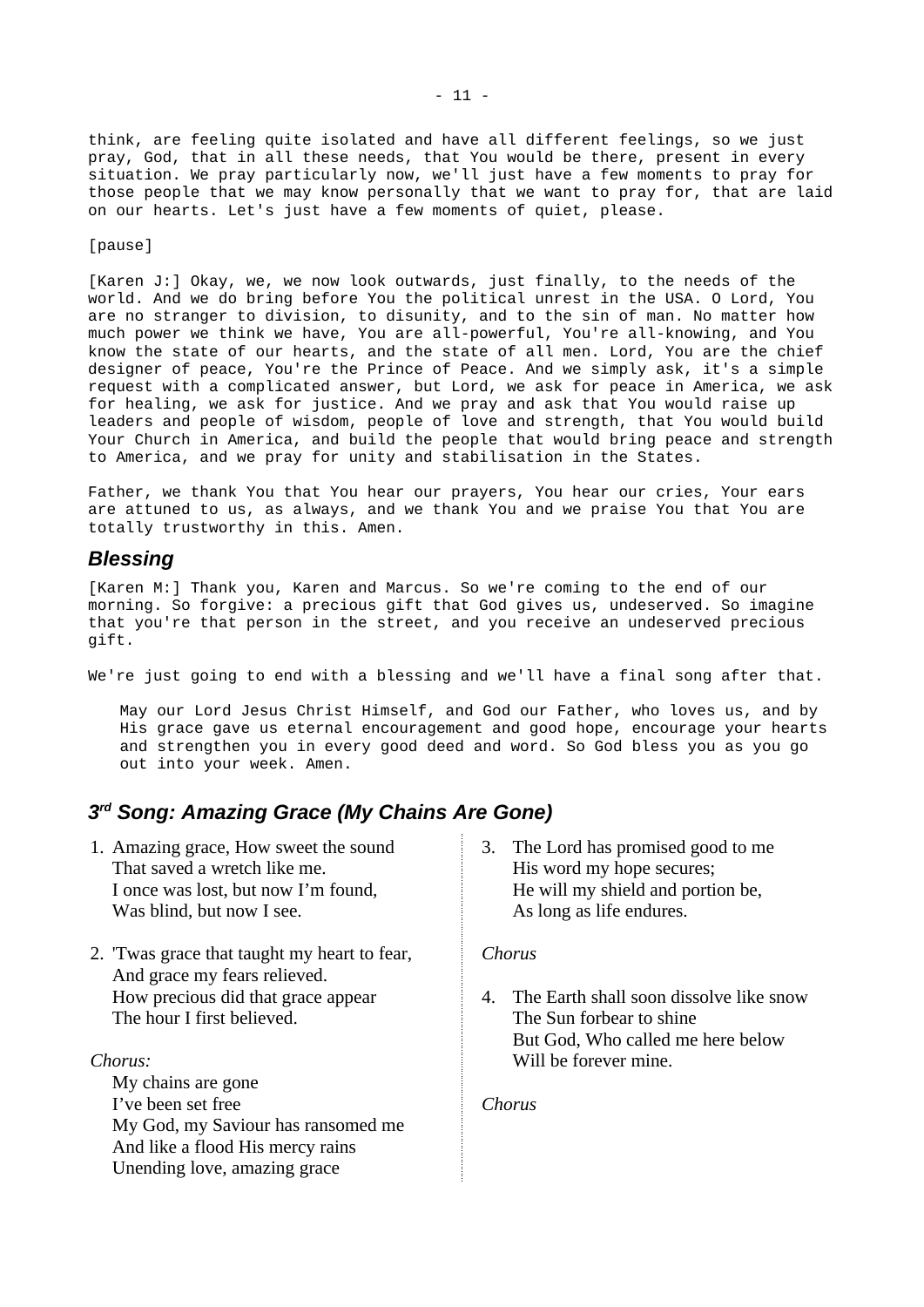think, are feeling quite isolated and have all different feelings, so we just pray, God, that in all these needs, that You would be there, present in every situation. We pray particularly now, we'll just have a few moments to pray for those people that we may know personally that we want to pray for, that are laid on our hearts. Let's just have a few moments of quiet, please.

#### [pause]

[Karen J:] Okay, we, we now look outwards, just finally, to the needs of the world. And we do bring before You the political unrest in the USA. O Lord, You are no stranger to division, to disunity, and to the sin of man. No matter how much power we think we have, You are all-powerful, You're all-knowing, and You know the state of our hearts, and the state of all men. Lord, You are the chief designer of peace, You're the Prince of Peace. And we simply ask, it's a simple request with a complicated answer, but Lord, we ask for peace in America, we ask for healing, we ask for justice. And we pray and ask that You would raise up leaders and people of wisdom, people of love and strength, that You would build Your Church in America, and build the people that would bring peace and strength to America, and we pray for unity and stabilisation in the States.

Father, we thank You that You hear our prayers, You hear our cries, Your ears are attuned to us, as always, and we thank You and we praise You that You are totally trustworthy in this. Amen.

#### <span id="page-10-1"></span>*Blessing*

[Karen M:] Thank you, Karen and Marcus. So we're coming to the end of our morning. So forgive: a precious gift that God gives us, undeserved. So imagine that you're that person in the street, and you receive an undeserved precious gift.

We're just going to end with a blessing and we'll have a final song after that.

May our Lord Jesus Christ Himself, and God our Father, who loves us, and by His grace gave us eternal encouragement and good hope, encourage your hearts and strengthen you in every good deed and word. So God bless you as you go out into your week. Amen.

## <span id="page-10-0"></span>*3 rd Song: Amazing Grace (My Chains Are Gone)*

And like a flood His mercy rains Unending love, amazing grace

1. Amazing grace, How sweet the sound That saved a wretch like me. I once was lost, but now I'm found, Was blind, but now I see. 2. 'Twas grace that taught my heart to fear, And grace my fears relieved. How precious did that grace appear The hour I first believed. *Chorus:* My chains are gone I've been set free My God, my Saviour has ransomed me 3. The Lord has promised good to me His word my hope secures; He will my shield and portion be, As long as life endures. *Chorus* 4. The Earth shall soon dissolve like snow The Sun forbear to shine But God, Who called me here below Will be forever mine. *Chorus*